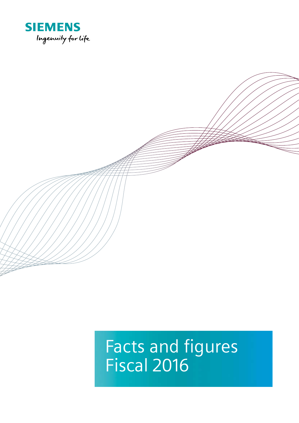

# Facts and figures Fiscal 2016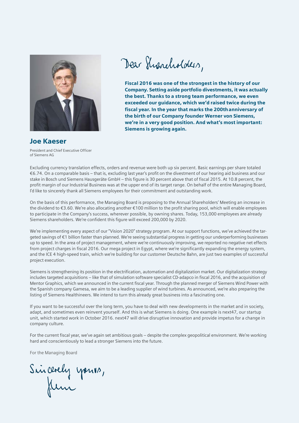

Dear Sharcholders,

Fiscal 2016 was one of the strongest in the history of our Company. Setting aside portfolio divestments, it was actually the best. Thanks to a strong team performance, we even exceeded our guidance, which we'd raised twice during the fiscal year. In the year that marks the 200thanniversary of the birth of our Company founder Werner von Siemens, we're in a very good position. And what's most important: Siemens is growing again.

## Joe Kaeser

President and Chief Executive Officer of Siemens AG

Excluding currency translation effects, orders and revenue were both up six percent. Basic earnings per share totaled €6.74. On a comparable basis – that is, excluding last year's profit on the divestment of our hearing aid business and our stake in Bosch und Siemens Hausgeräte GmbH – this figure is 30 percent above that of fiscal 2015. At 10.8 percent, the profit margin of our Industrial Business was at the upper end of its target range. On behalf of the entire Managing Board, I'd like to sincerely thank all Siemens employees for their commitment and outstanding work.

On the basis of this performance, the Managing Board is proposing to the Annual Shareholders' Meeting an increase in the dividend to €3.60. We're also allocating another €100 million to the profit sharing pool, which will enable employees to participate in the Company's success, wherever possible, by owning shares. Today, 153,000 employees are already Siemens shareholders. We're confident this figure will exceed 200,000 by 2020.

We're implementing every aspect of our "Vision 2020" strategy program. At our support functions, we've achieved the targeted savings of €1 billion faster than planned. We're seeing substantial progress in getting our underperforming businesses up to speed. In the area of project management, where we're continuously improving, we reported no negative net effects from project charges in fiscal 2016. Our mega project in Egypt, where we're significantly expanding the energy system, and the ICE 4 high-speed train, which we're building for our customer Deutsche Bahn, are just two examples of successful project execution.

Siemens is strengthening its position in the electrification, automation and digitalization market. Our digitalization strategy includes targeted acquisitions – like that of simulation software specialist CD-adapco in fiscal 2016, and the acquisition of Mentor Graphics, which we announced in the current fiscal year. Through the planned merger of Siemens Wind Power with the Spanish company Gamesa, we aim to be a leading supplier of wind turbines. As announced, we're also preparing the listing of Siemens Healthineers. We intend to turn this already great business into a fascinating one.

If you want to be successful over the long term, you have to deal with new developments in the market and in society, adapt, and sometimes even reinvent yourself. And this is what Siemens is doing. One example is next47, our startup unit, which started work in October 2016. next47 will drive disruptive innovation and provide impetus for a change in company culture.

For the current fiscal year, we've again set ambitious goals – despite the complex geopolitical environment. We're working hard and conscientiously to lead a stronger Siemens into the future.

For the Managing Board

Sincerely yours,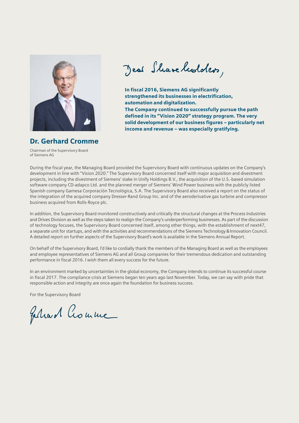

Jeal Share hedders,

In fiscal 2016, Siemens AG significantly strengthened its businesses in electrification, automation and digitalization. The Company continued to successfully pursue the path defined in its "Vision 2020" strategy program. The very solid development of our business figures – particularly net income and revenue – was especially gratifying.

## Dr. Gerhard Cromme

Chairman of the Supervisory Board of Siemens AG

During the fiscal year, the Managing Board provided the Supervisory Board with continuous updates on the Company's development in line with "Vision 2020." The Supervisory Board concerned itself with major acquisition and divestment projects, including the divestment of Siemens' stake in Unify Holdings B.V., the acquisition of the U.S.-based simulation software company CD-adapco Ltd. and the planned merger of Siemens' Wind Power business with the publicly listed Spanish company Gamesa Corporación Tecnológica, S.A. The Supervisory Board also received a report on the status of the integration of the acquired company Dresser-Rand Group Inc. and of the aeroderivative gas turbine and compressor business acquired from Rolls-Royce plc.

In addition, the Supervisory Board monitored constructively and critically the structural changes at the Process Industries and Drives Division as well as the steps taken to realign the Company's underperforming businesses. As part of the discussion of technology focuses, the Supervisory Board concerned itself, among other things, with the establishment of next47, a separate unit for startups, and with the activities and recommendations of the Siemens Technology & Innovation Council. A detailed report on further aspects of the Supervisory Board's work is available in the Siemens Annual Report.

On behalf of the Supervisory Board, I'd like to cordially thank the members of the Managing Board as well as the employees and employee representatives of Siemens AG and all Group companies for their tremendous dedication and outstanding performance in fiscal 2016. I wish them all every success for the future.

In an environment marked by uncertainties in the global economy, the Company intends to continue its successful course in fiscal 2017. The compliance crisis at Siemens began ten years ago last November. Today, we can say with pride that responsible action and integrity are once again the foundation for business success.

For the Supervisory Board

Feliard Crouwe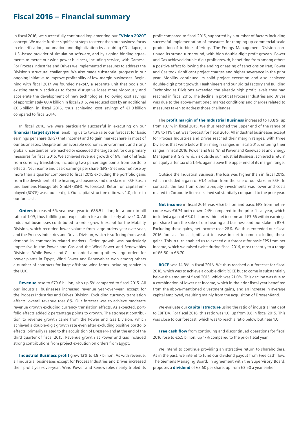## Fiscal 2016 – Financial summary

In fiscal 2016, we successfully continued implementing our "Vision 2020" concept. We made further significant steps to strengthen our business focus in electrification, automation and digitalization by acquiring CD-adapco, a U.S.-based provider of simulation software, and by signing binding agreements to merge our wind power business, including service, with Gamesa. For Process Industries and Drives we implemented measures to address the Division's structural challenges. We also made substantial progress in our ongoing initiative to improve profitability of low-margin businesses. Beginning with fiscal 2017 we founded next47, a separate unit that pools our existing startup activities to foster disruptive ideas more vigorously and accelerate the development of new technologies. Following cost savings of approximately €0.4 billion in fiscal 2015, we reduced cost by an additional €0.6 billion in fiscal 2016, thus achieving cost savings of €1.0 billion compared to fiscal 2014.

In fiscal 2016, we were particularly successful in executing on our financial target system, enabling us to twice raise our forecast for basic earnings per share (EPS) (net income) and to gain market share in most of our businesses. Despite an unfavorable economic environment and rising global uncertainties, we reached or exceeded the targets set for our primary measures for fiscal 2016. We achieved revenue growth of 6%, net of effects from currency translation, including two percentage points from portfolio effects. Net income and basic earnings per share (EPS) (net income) rose by more than a quarter compared to fiscal 2015 excluding the portfolio gains from the divestment of the hearing aid business and our stake in BSH Bosch und Siemens Hausgeräte GmbH (BSH). As forecast, Return on capital employed (ROCE) was double-digit. Our capital structure ratio was 1.0, close to our forecast.

Orders increased 5% year-over-year to €86.5 billion, for a book-to-bill ratio of 1.09, thus fulfilling our expectation for a ratio clearly above 1.0. All industrial businesses contributed to order growth except for the Mobility Division, which recorded lower volume from large orders year-over-year, and the Process Industries and Drives Division, which is suffering from weak demand in commodity-related markets. Order growth was particularly impressive in the Power and Gas and the Wind Power and Renewables Divisions. While Power and Gas recorded among others large orders for power plants in Egypt, Wind Power and Renewables won among others a number of contracts for large offshore wind-farms including service in the U.K.

Revenue rose to €79.6 billion, also up 5% compared to fiscal 2015. All our industrial businesses increased revenue year-over-year, except for the Process Industries and Drives Division. Excluding currency translation effects, overall revenue rose 6%. Our forecast was to achieve moderate revenue growth excluding currency translation effects. As expected, portfolio effects added 2 percentage points to growth. The strongest contribution to revenue growth came from the Power and Gas Division, which achieved a double-digit growth rate even after excluding positive portfolio effects, primarily related to the acquisition of Dresser-Rand at the end of the third quarter of fiscal 2015. Revenue growth at Power and Gas included strong contributions from project execution on orders from Egypt.

Industrial Business profit grew 13% to €8.7 billion. As with revenue, all industrial businesses except for Process Industries and Drives increased their profit year-over-year. Wind Power and Renewables nearly tripled its

profit compared to fiscal 2015, supported by a number of factors including successful implementation of measures for ramping up commercial-scale production of turbine offerings. The Energy Management Division continued its strong turnaround, with high double-digit profit growth. Power and Gas achieved double-digit profit growth, benefiting from among others a positive effect following the ending or easing of sanctions on Iran; Power and Gas took significant project charges and higher severance in the prior year. Mobility continued its solid project execution and also achieved double-digit profit growth. Healthineers and our Digital Factory and Building Technologies Divisions exceeded the already high profit levels they had reached in fiscal 2015. The decline in profit at Process Industries and Drives was due to the above-mentioned market conditions and charges related to measures taken to address those challenges.

The **profit margin of the Industrial Business** increased to 10.8%, up from 10.1% in fiscal 2015. We thus reached the upper end of the range of 10% to 11% that was forecast for fiscal 2016. All industrial businesses except for Process Industries and Drives reached their margin ranges, with three Divisions that were below their margin ranges in fiscal 2015, entering their ranges in fiscal 2016: Power and Gas, Wind Power and Renewables and Energy Management. SFS, which is outside our Industrial Business, achieved a return on equity after tax of 21.6%, again above the upper end of its margin range.

Outside the Industrial Business, the loss was higher than in fiscal 2015, which included a gain of €1.4 billion from the sale of our stake in BSH. In contrast, the loss from other at-equity investments was lower and costs related to Corporate Items declined substantially compared to the prior year.

Net income in fiscal 2016 was €5.6 billion and basic EPS from net income was €6.74 both down 24% compared to the prior fiscal year, which included a gain of €3.0 billion within net income and €3.66 within earnings per share from the sale of our hearing aid business and our stake in BSH. Excluding these gains, net income rose 28%. We thus exceeded our fiscal 2016 forecast for a significant increase in net income excluding these gains. This in turn enabled us to exceed our forecast for basic EPS from net income, which we raised twice during fiscal 2016, most recently to a range of €6.50 to €6.70.

ROCE was 14.3% in fiscal 2016. We thus reached our forecast for fiscal 2016, which was to achieve a double-digit ROCE but to come in substantially below the amount of fiscal 2015, which was 21.0%. This decline was due to a combination of lower net income, which in the prior fiscal year benefited from the above-mentioned divestment gains, and an increase in average capital employed, resulting mainly from the acquisition of Dresser-Rand.

We evaluate our **capital structure** using the ratio of industrial net debt to EBITDA. For fiscal 2016, this ratio was 1.0, up from 0.6 in fiscal 2015. This was close to our forecast, which was to reach a ratio below but near 1.0.

Free cash flow from continuing and discontinued operations for fiscal 2016 rose to €5.5 billion, up 17% compared to the prior fiscal year.

We intend to continue providing an attractive return to shareholders. As in the past, we intend to fund our dividend payout from Free cash flow. The Siemens Managing Board, in agreement with the Supervisory Board, proposes a **dividend** of €3.60 per share, up from €3.50 a year earlier.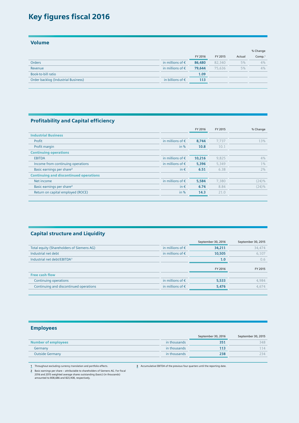## Key figures fiscal 2016

Volume

|                                     |                           |         |         |        | % Change           |
|-------------------------------------|---------------------------|---------|---------|--------|--------------------|
|                                     |                           | FY 2016 | FY 2015 | Actual | Comp. <sup>1</sup> |
| <b>Orders</b>                       | in millions of $\epsilon$ | 86,480  | 82,340  | 5%     | 4%                 |
| Revenue                             | in millions of $\epsilon$ | 79,644  | 75,636  | 5%     | 4%                 |
| Book-to-bill ratio                  |                           | 1.09    |         |        |                    |
| Order backlog (Industrial Business) | in billions of $\epsilon$ | 113     |         |        |                    |
|                                     |                           |         |         |        |                    |

#### Profitability and Capital efficiency

|                                               |                           | FY 2016 | FY 2015 | % Change |
|-----------------------------------------------|---------------------------|---------|---------|----------|
| <b>Industrial Business</b>                    |                           |         |         |          |
| Profit                                        | in millions of $\epsilon$ | 8.744   | 7.737   | 13%      |
| Profit margin                                 | in $%$                    | 10.8    | 10.1    |          |
| <b>Continuing operations</b>                  |                           |         |         |          |
| <b>EBITDA</b>                                 | in millions of $\epsilon$ | 10,216  | 9,825   | 4%       |
| Income from continuing operations             | in millions of $\epsilon$ | 5,396   | 5,349   | $1\%$    |
| Basic earnings per share <sup>2</sup>         | in $\epsilon$             | 6.51    | 6.38    | 2%       |
| <b>Continuing and discontinued operations</b> |                           |         |         |          |
| Net income                                    | in millions of $\epsilon$ | 5,584   | 7.380   | $(24)\%$ |
| Basic earnings per share <sup>2</sup>         | in $\epsilon$             | 6.74    | 8.84    | $(24)\%$ |
| Return on capital employed (ROCE)             | in $%$                    | 14.3    | 21.0    |          |
|                                               |                           |         |         |          |

#### Capital structure and Liquidity

|                                           |                           | September 30, 2016 | September 30, 2015 |
|-------------------------------------------|---------------------------|--------------------|--------------------|
| Total equity (Shareholders of Siemens AG) | in millions of $\epsilon$ | 34,211             | 34,474             |
| Industrial net debt                       | in millions of $\epsilon$ | 10,505             | 6,107              |
| Industrial net debt/EBITDA <sup>3</sup>   |                           | 1.0                | 0.6                |
|                                           |                           | FY 2016            | FY 2015            |
| <b>Free cash flow</b>                     |                           |                    |                    |
| Continuing operations                     | in millions of $\epsilon$ | 5,533              | 4.984              |
| Continuing and discontinued operations    | in millions of $\epsilon$ | 5,476              | 4.674              |
|                                           |                           |                    |                    |

### Employees

|                            |              | September 30, 2016 | September 30, 2015 |
|----------------------------|--------------|--------------------|--------------------|
| <b>Number of employees</b> | in thousands | 35 <sup>2</sup>    | 348                |
| Germany                    | in thousands | 113                | 114                |
| <b>Outside Germany</b>     | in thousands | 238                | 734                |
|                            |              |                    |                    |

**1** Throughout excluding currency translation and portfolio effects.

**3** Accumulative EBITDA of the previous four quarters until the reporting date.

**2** Basic earnings per share – attributable to shareholders of Siemens AG. For fiscal 2016 and 2015 weighted average shares outstanding (basic) (in thousands) amounted to 808,686 and 823,408, respectively.